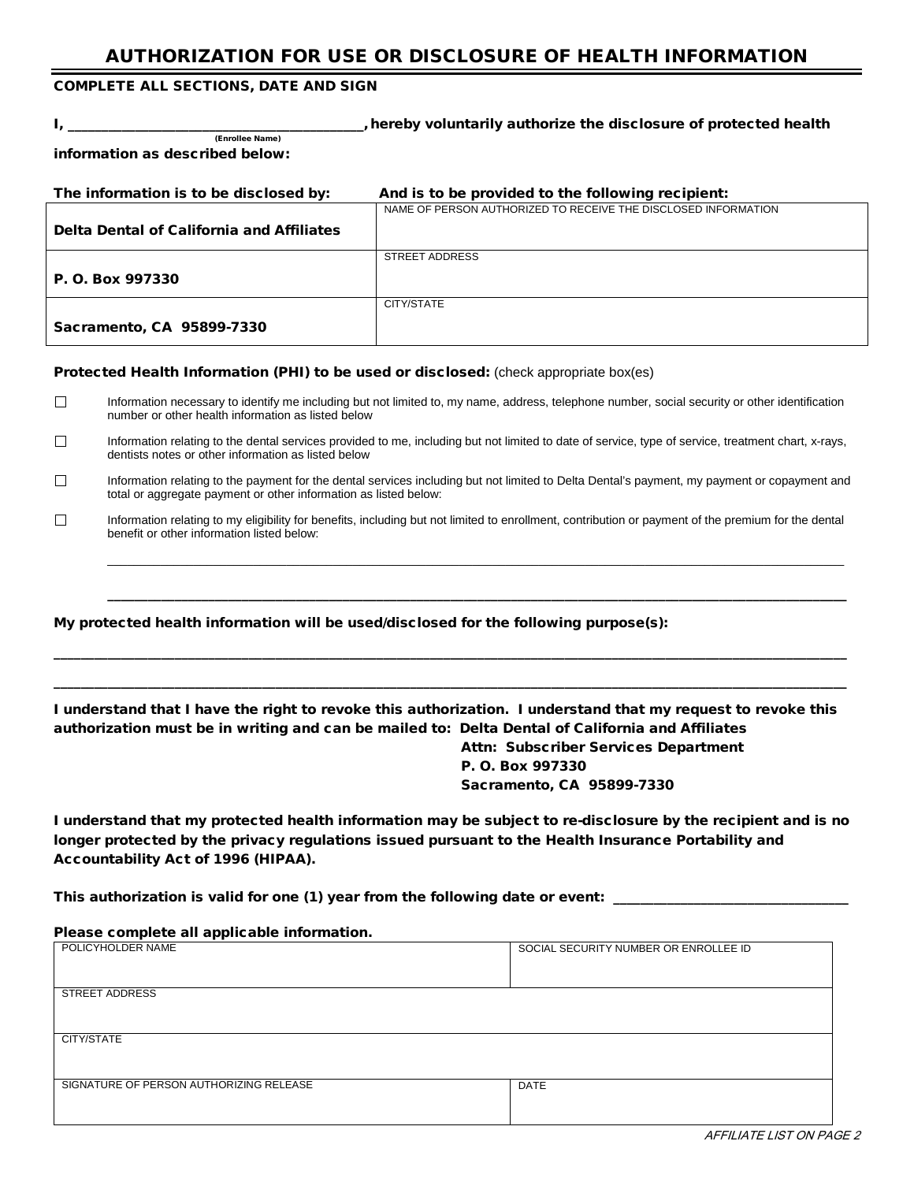## AUTHORIZATION FOR USE OR DISCLOSURE OF HEALTH INFORMATION

### COMPLETE ALL SECTIONS, DATE AND SIGN

(Enrollee Name)

I, \_\_\_\_\_\_\_\_\_\_\_\_\_\_\_\_\_\_\_\_\_\_\_\_\_\_\_\_\_\_\_\_\_\_\_\_\_\_\_\_\_\_\_\_,hereby voluntarily authorize the disclosure of protected health

information as described below:

| The information is to be disclosed by:    | And is to be provided to the following recipient:              |
|-------------------------------------------|----------------------------------------------------------------|
|                                           | NAME OF PERSON AUTHORIZED TO RECEIVE THE DISCLOSED INFORMATION |
| Delta Dental of California and Affiliates |                                                                |
|                                           | STREET ADDRESS                                                 |
| P. O. Box 997330                          |                                                                |
|                                           | CITY/STATE                                                     |
| Sacramento, CA 95899-7330                 |                                                                |

#### Protected Health Information (PHI) to be used or disclosed: (check appropriate box(es)

- $\Box$ Information necessary to identify me including but not limited to, my name, address, telephone number, social security or other identification number or other health information as listed below
- $\Box$ Information relating to the dental services provided to me, including but not limited to date of service, type of service, treatment chart, x-rays, dentists notes or other information as listed below
- $\Box$ Information relating to the payment for the dental services including but not limited to Delta Dental's payment, my payment or copayment and total or aggregate payment or other information as listed below:
- $\Box$ Information relating to my eligibility for benefits, including but not limited to enrollment, contribution or payment of the premium for the dental benefit or other information listed below:

\_\_\_\_\_\_\_\_\_\_\_\_\_\_\_\_\_\_\_\_\_\_\_\_\_\_\_\_\_\_\_\_\_\_\_\_\_\_\_\_\_\_\_\_\_\_\_\_\_\_\_\_\_\_\_\_\_\_\_\_\_\_\_\_\_\_\_\_\_\_\_\_\_\_\_\_\_\_\_\_\_\_\_\_\_\_\_\_\_\_\_\_\_\_\_\_\_\_\_\_\_\_\_\_\_\_\_\_\_\_\_

\_\_\_\_\_\_\_\_\_\_\_\_\_\_\_\_\_\_\_\_\_\_\_\_\_\_\_\_\_\_\_\_\_\_\_\_\_\_\_\_\_\_\_\_\_\_\_\_\_\_\_\_\_\_\_\_\_\_\_\_\_\_\_\_\_\_\_\_\_\_\_\_\_\_\_\_\_\_\_\_\_\_\_\_\_\_\_\_\_\_\_\_\_\_\_\_\_\_\_\_\_\_\_\_\_\_\_\_\_\_

My protected health information will be used/disclosed for the following purpose(s):

I understand that I have the right to revoke this authorization. I understand that my request to revoke this authorization must be in writing and can be mailed to: Delta Dental of California and Affiliates

\_\_\_\_\_\_\_\_\_\_\_\_\_\_\_\_\_\_\_\_\_\_\_\_\_\_\_\_\_\_\_\_\_\_\_\_\_\_\_\_\_\_\_\_\_\_\_\_\_\_\_\_\_\_\_\_\_\_\_\_\_\_\_\_\_\_\_\_\_\_\_\_\_\_\_\_\_\_\_\_\_\_\_\_\_\_\_\_\_\_\_\_\_\_\_\_\_\_\_\_\_\_\_\_\_\_\_\_\_\_\_\_\_\_\_\_\_\_ \_\_\_\_\_\_\_\_\_\_\_\_\_\_\_\_\_\_\_\_\_\_\_\_\_\_\_\_\_\_\_\_\_\_\_\_\_\_\_\_\_\_\_\_\_\_\_\_\_\_\_\_\_\_\_\_\_\_\_\_\_\_\_\_\_\_\_\_\_\_\_\_\_\_\_\_\_\_\_\_\_\_\_\_\_\_\_\_\_\_\_\_\_\_\_\_\_\_\_\_\_\_\_\_\_\_\_\_\_\_\_\_\_\_\_\_\_\_

> Attn: Subscriber Services Department P. O. Box 997330 Sacramento, CA 95899-7330

I understand that my protected health information may be subject to re-disclosure by the recipient and is no longer protected by the privacy regulations issued pursuant to the Health Insurance Portability and Accountability Act of 1996 (HIPAA).

This authorization is valid for one (1) year from the following date or event:

#### Please complete all applicable information.

| SOCIAL SECURITY NUMBER OR ENROLLEE ID |
|---------------------------------------|
|                                       |
|                                       |
|                                       |
|                                       |
|                                       |
|                                       |
|                                       |
|                                       |
| <b>DATE</b>                           |
|                                       |
|                                       |
|                                       |